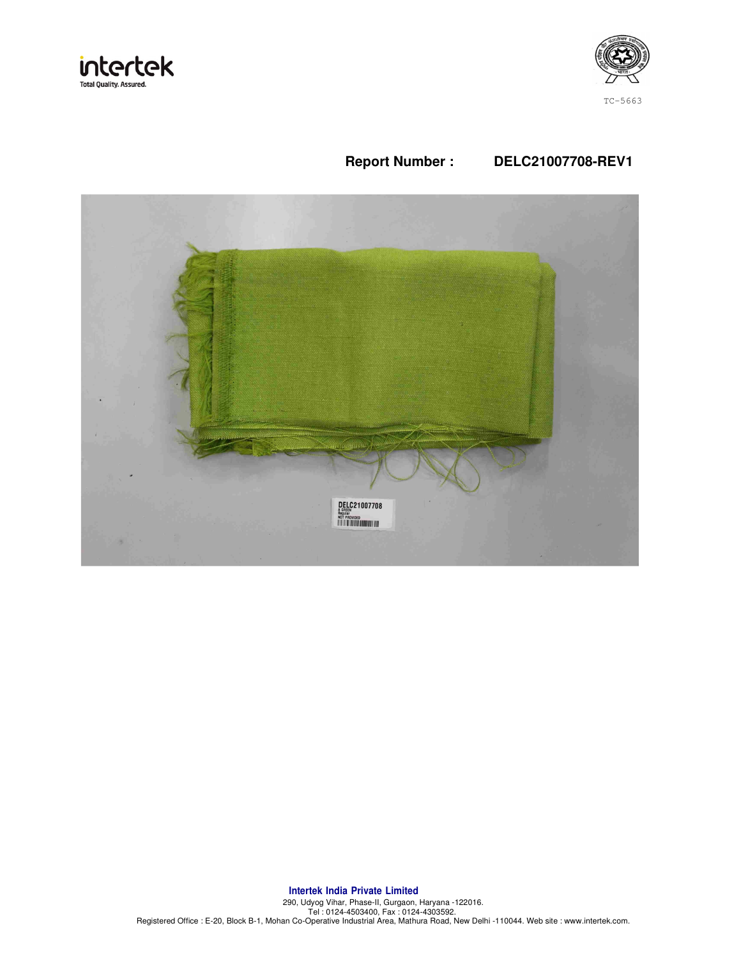



# **Report Number : DELC21007708-REV1**

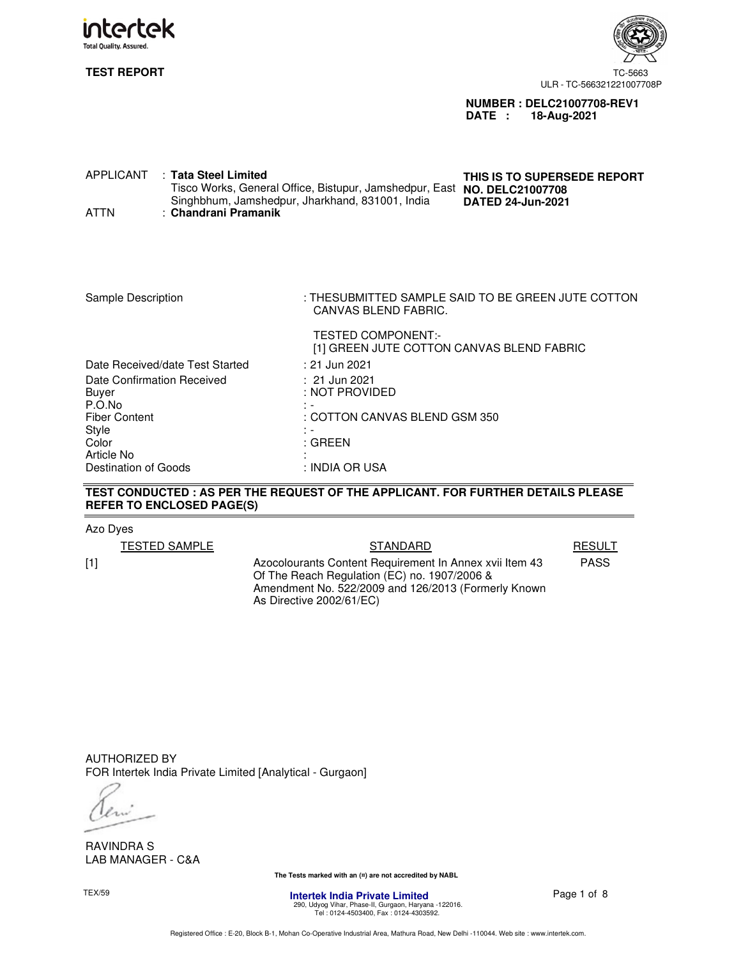

**TEST REPORT** 



**NUMBER : DELC21007708-REV1 DATE : 18-Aug-2021** 

| APPLICANT<br>ATTN | : Tata Steel Limited<br>Tisco Works, General Office, Bistupur, Jamshedpur, East NO. DELC21007708<br>Singhbhum, Jamshedpur, Jharkhand, 831001, India<br>: Chandrani Pramanik | THIS IS TO SUPERSEDE REPORT<br><b>DATED 24-Jun-2021</b> |
|-------------------|-----------------------------------------------------------------------------------------------------------------------------------------------------------------------------|---------------------------------------------------------|
|-------------------|-----------------------------------------------------------------------------------------------------------------------------------------------------------------------------|---------------------------------------------------------|

| Sample Description                            | : THESUBMITTED SAMPLE SAID TO BE GREEN JUTE COTTON<br>CANVAS BLEND FABRIC. |  |  |
|-----------------------------------------------|----------------------------------------------------------------------------|--|--|
|                                               | <b>TESTED COMPONENT:-</b><br>[1] GREEN JUTE COTTON CANVAS BLEND FABRIC     |  |  |
| Date Received/date Test Started               | : 21 Jun 2021                                                              |  |  |
| Date Confirmation Received<br>Buyer<br>P.O.No | $: 21$ Jun 2021<br>: NOT PROVIDED<br>di el                                 |  |  |
| <b>Fiber Content</b>                          | : COTTON CANVAS BLEND GSM 350                                              |  |  |
| Style                                         |                                                                            |  |  |
| Color                                         | : GREEN                                                                    |  |  |
| Article No                                    |                                                                            |  |  |
| Destination of Goods                          | : INDIA OR USA                                                             |  |  |

# **TEST CONDUCTED : AS PER THE REQUEST OF THE APPLICANT. FOR FURTHER DETAILS PLEASE REFER TO ENCLOSED PAGE(S)**

Azo Dyes

TESTED SAMPLE STANDARD STANDARD RESULT

[1] Azocolourants Content Requirement In Annex xvii Item 43 Of The Reach Regulation (EC) no. 1907/2006 & Amendment No. 522/2009 and 126/2013 (Formerly Known As Directive 2002/61/EC)

PASS

AUTHORIZED BY FOR Intertek India Private Limited [Analytical - Gurgaon]

RAVINDRA S LAB MANAGER - C&A

TEX/59

**The Tests marked with an (¤) are not accredited by NABL** 

**Intertek India Private Limited** 290, Udyog Vihar, Phase-II, Gurgaon, Haryana -122016. Tel : 0124-4503400, Fax : 0124-4303592.

Page 1 of 8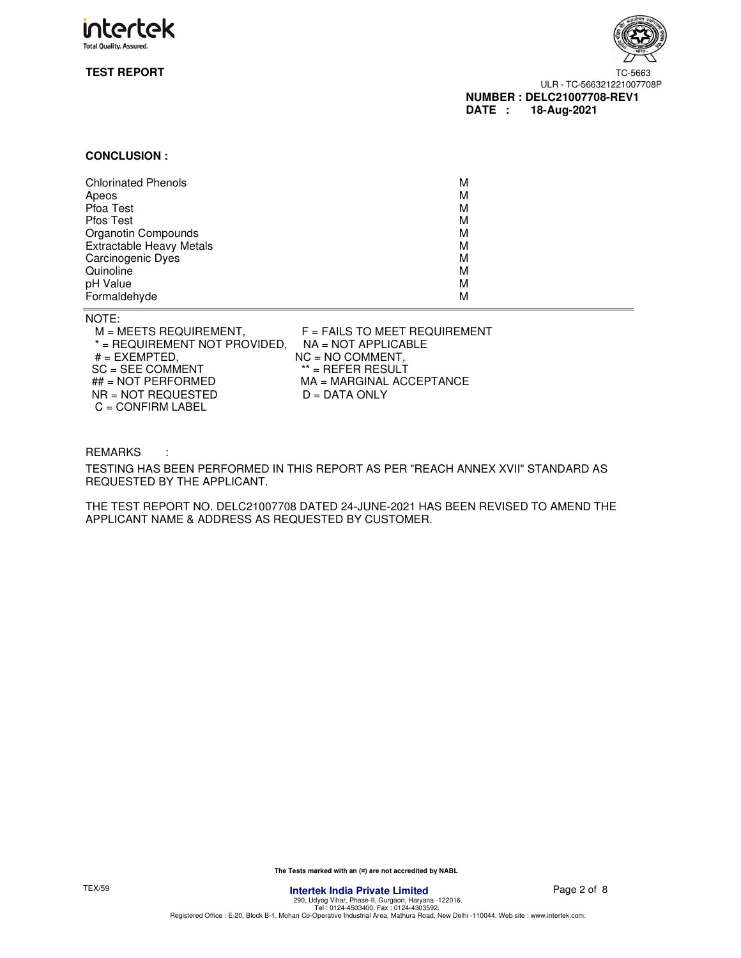



### **CONCLUSION :**

| <b>Chlorinated Phenols</b>      | М |
|---------------------------------|---|
| Apeos                           | M |
| Pfoa Test                       | M |
| Pfos Test                       | M |
| Organotin Compounds             | M |
| <b>Extractable Heavy Metals</b> | M |
| Carcinogenic Dyes               | M |
| Quinoline                       | M |
| pH Value                        | м |
| Formaldehyde                    | М |

### NOTE:

| M = MEETS REQUIREMENT,        | $F =$ FAILS TO MEET $F$ |
|-------------------------------|-------------------------|
| * = REQUIREMENT NOT PROVIDED, | $NA = NOT APPLICAE$     |
| $#$ = EXEMPTED.               | $NC = NO$ COMMENT,      |
| $SC = SEE$ COMMENT            | $**$ = REFER RESULT     |
| $\#$ = NOT PERFORMED          | $MA = MARGINAL ACC$     |
| NR = NOT REQUESTED            | $D = DATA$ ONLY         |
| $C = CONFIRM LABEL$           |                         |
|                               |                         |

MEET REQUIREMENT PLICABLE<sup></sup> MENT,<br>ESULT: <mark><br> A A CCEPTANCE</mark><br>

REMARKS :

TESTING HAS BEEN PERFORMED IN THIS REPORT AS PER "REACH ANNEX XVII" STANDARD AS REQUESTED BY THE APPLICANT.

THE TEST REPORT NO. DELC21007708 DATED 24-JUNE-2021 HAS BEEN REVISED TO AMEND THE APPLICANT NAME & ADDRESS AS REQUESTED BY CUSTOMER.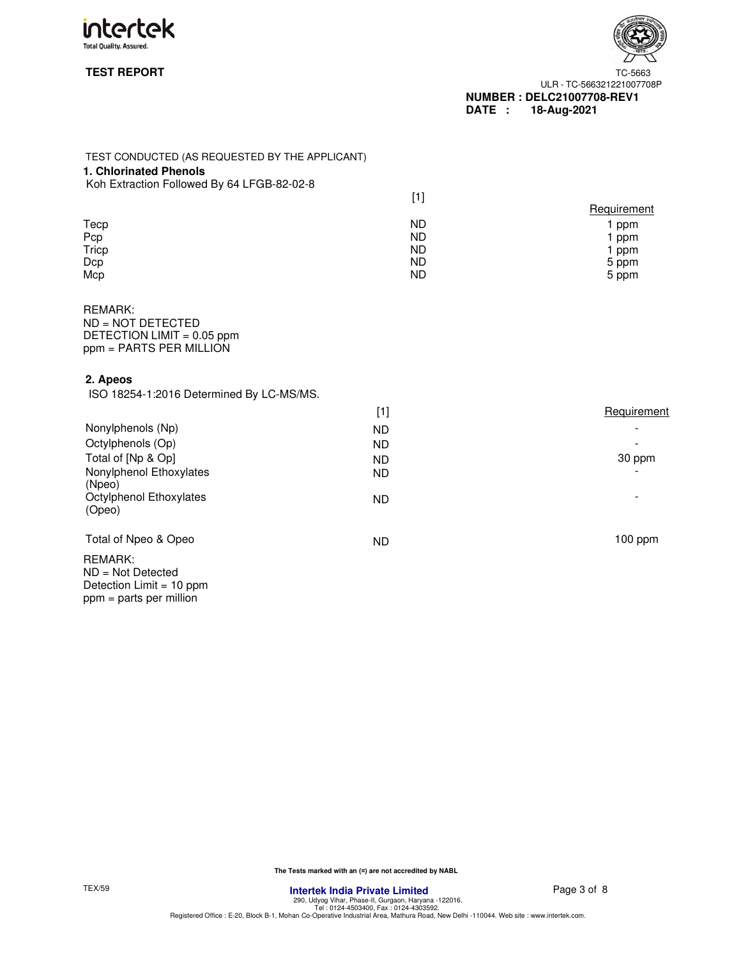



| TEST CONDUCTED (AS REQUESTED BY THE APPLICANT) |           |             |
|------------------------------------------------|-----------|-------------|
| 1. Chlorinated Phenols                         |           |             |
| Koh Extraction Followed By 64 LFGB-82-02-8     |           |             |
|                                                | $[1]$     |             |
|                                                |           | Requirement |
| Tecp                                           | <b>ND</b> | 1 ppm       |
| Pcp                                            | <b>ND</b> | 1 ppm       |
| Tricp                                          | <b>ND</b> | 1 ppm       |
| Dcp                                            | <b>ND</b> | 5 ppm       |
| Mcp                                            | <b>ND</b> | 5 ppm       |
| <b>REMARK:</b>                                 |           |             |
| ND = NOT DETECTED                              |           |             |
| DETECTION LIMIT = 0.05 ppm                     |           |             |
| ppm = PARTS PER MILLION                        |           |             |
|                                                |           |             |
| 2. Apeos                                       |           |             |
| ISO 18254-1:2016 Determined By LC-MS/MS.       |           |             |
|                                                | $[1]$     | Requirement |
| Nonylphenols (Np)                              | <b>ND</b> |             |
| Octylphenols (Op)                              | <b>ND</b> |             |
| Total of [Np & Op]                             | <b>ND</b> | 30 ppm      |
| Nonylphenol Ethoxylates                        | <b>ND</b> |             |
| (Npeo)                                         |           |             |
| Octylphenol Ethoxylates                        | <b>ND</b> |             |
| (Opeo)                                         |           |             |
| Total of Npeo & Opeo                           | <b>ND</b> | 100 ppm     |
|                                                |           |             |
| <b>REMARK:</b>                                 |           |             |
| ND = Not Detected                              |           |             |
| Detection Limit = 10 ppm                       |           |             |
| ppm = parts per million                        |           |             |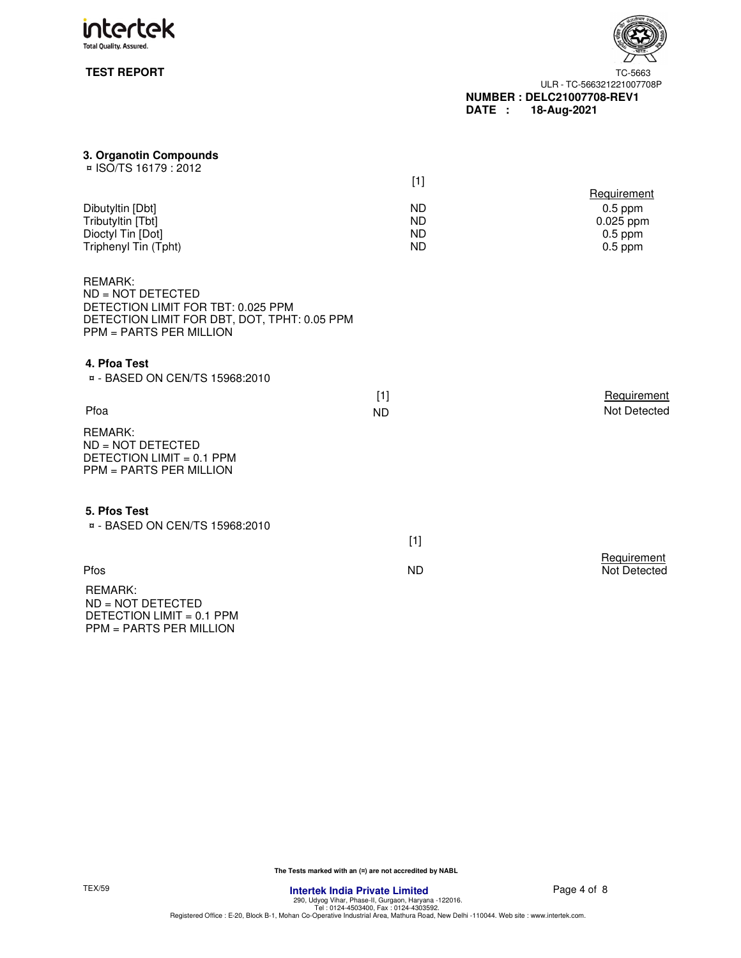

**3. Organotin Compounds** 



# ¤ ISO/TS 16179 : 2012  $[1]$ **Requirement** Dibutyltin [Dbt] 0.5 ppm<br>
Tributyltin [Tbt] 0.025 ppm 0.025 ppm 0.025 ppm 0.025 ppm 0.025 ppm 0.025 ppm 0.025 ppm 0.025 ppm 0.025 ppm 0 Tributyltin [Tbt] ND 0.025 ppm Dioctyl Tin [Dot] ND 0.5 ppm Triphenyl Tin (Tpht) REMARK: ND = NOT DETECTED DETECTION LIMIT FOR TBT: 0.025 PPM DETECTION LIMIT FOR DBT, DOT, TPHT: 0.05 PPM PPM = PARTS PER MILLION **4. Pfoa Test**  ¤ - BASED ON CEN/TS 15968:2010 [1] Requirement Pfoa komzet e komzet a northwedek a ND Not Detected Not Detected REMARK: ND = NOT DETECTED DETECTION LIMIT = 0.1 PPM PPM = PARTS PER MILLION **5. Pfos Test**  ¤ - BASED ON CEN/TS 15968:2010 [1] **Requirement**<br>Not Detected Pfos and the control of the control of the ND Not Detected in the Not Detected in the Not Detected in the Not REMARK: ND = NOT DETECTED DETECTION LIMIT = 0.1 PPM PPM = PARTS PER MILLION

**The Tests marked with an (¤) are not accredited by NABL**

**111ertek India Private Limited Filter (1998)**<br>290, Udyog Vihar, Phase-II, Gurgaon, Haryana -122016.<br>Tel : 0124-4503400, Fax : 0124-460309, 121-44-4030592.<br>Registered Office : E-20, Block B-1, Mohan Co-Operative Industrial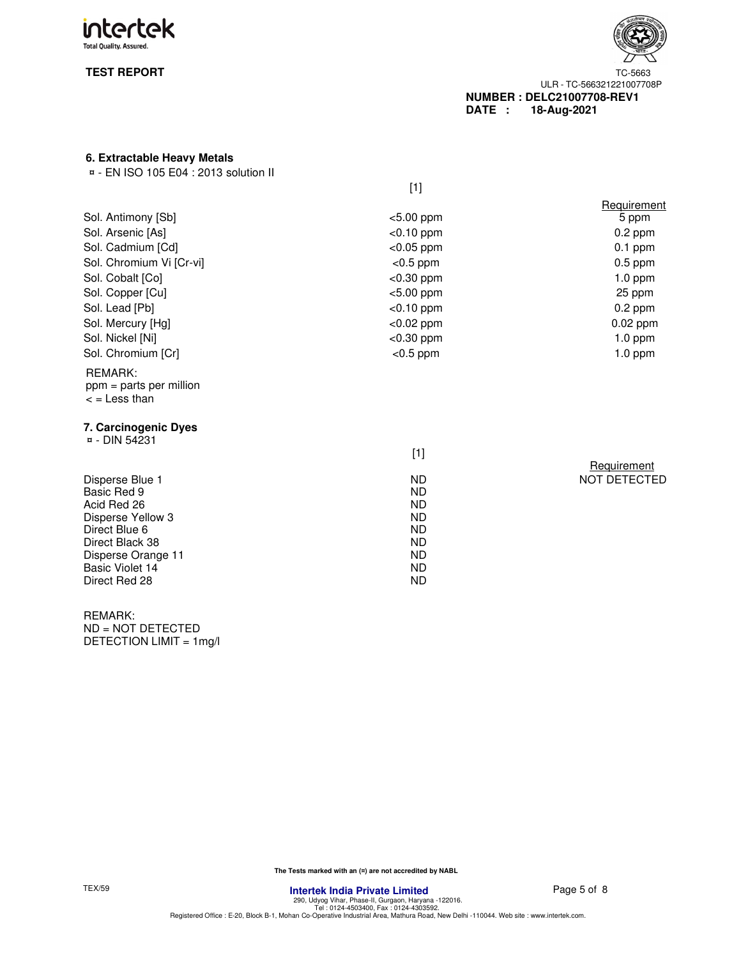



# **6. Extractable Heavy Metals**

|  |  |  |  | ¤ - EN ISO 105 E04 : 2013 solution II |
|--|--|--|--|---------------------------------------|
|--|--|--|--|---------------------------------------|

[1]

|                                                                                                                                                                  |                                                                                                            | Requirement  |
|------------------------------------------------------------------------------------------------------------------------------------------------------------------|------------------------------------------------------------------------------------------------------------|--------------|
| Sol. Antimony [Sb]                                                                                                                                               | $<$ 5.00 ppm                                                                                               | 5 ppm        |
| Sol. Arsenic [As]                                                                                                                                                | $<$ 0.10 ppm                                                                                               | $0.2$ ppm    |
| Sol. Cadmium [Cd]                                                                                                                                                | $<$ 0.05 ppm                                                                                               | $0.1$ ppm    |
| Sol. Chromium Vi [Cr-vi]                                                                                                                                         | $<$ 0.5 ppm                                                                                                | $0.5$ ppm    |
| Sol. Cobalt [Co]                                                                                                                                                 | $<$ 0.30 ppm                                                                                               | $1.0$ ppm    |
| Sol. Copper [Cu]                                                                                                                                                 | $< 5.00$ ppm                                                                                               | 25 ppm       |
| Sol. Lead [Pb]                                                                                                                                                   | $<$ 0.10 ppm                                                                                               | $0.2$ ppm    |
| Sol. Mercury [Hg]                                                                                                                                                | $<$ 0.02 ppm                                                                                               | $0.02$ ppm   |
| Sol. Nickel [Ni]                                                                                                                                                 | $<$ 0.30 ppm                                                                                               | $1.0$ ppm    |
| Sol. Chromium [Cr]                                                                                                                                               | $<$ 0.5 ppm                                                                                                | $1.0$ ppm    |
| <b>REMARK:</b><br>ppm = parts per million<br>$\leq$ = Less than<br>7. Carcinogenic Dyes<br>¤ - DIN 54231                                                         |                                                                                                            |              |
|                                                                                                                                                                  | $[1]$                                                                                                      |              |
|                                                                                                                                                                  |                                                                                                            | Requirement  |
| Disperse Blue 1<br>Basic Red 9<br>Acid Red 26<br>Disperse Yellow 3<br>Direct Blue 6<br>Direct Black 38<br>Disperse Orange 11<br>Basic Violet 14<br>Direct Red 28 | <b>ND</b><br><b>ND</b><br><b>ND</b><br><b>ND</b><br><b>ND</b><br><b>ND</b><br><b>ND</b><br>ND<br><b>ND</b> | NOT DETECTED |
|                                                                                                                                                                  |                                                                                                            |              |

REMARK: ND = NOT DETECTED DETECTION LIMIT = 1mg/l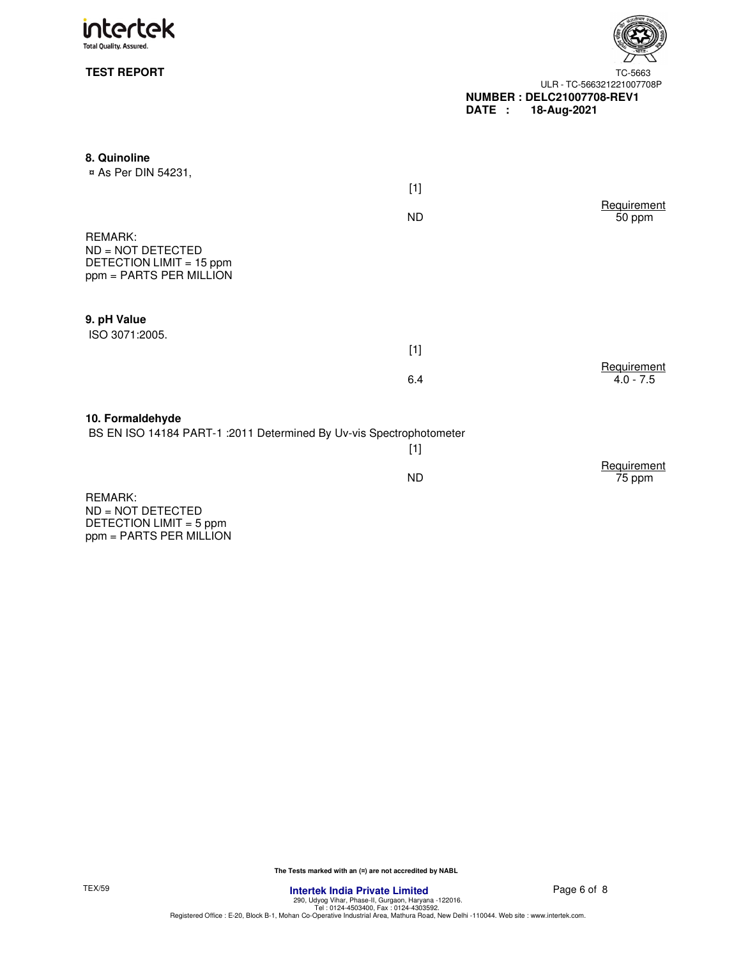



| 8. Quinoline                                                                               |           |                            |
|--------------------------------------------------------------------------------------------|-----------|----------------------------|
| ¤ As Per DIN 54231,                                                                        |           |                            |
|                                                                                            | $[1]$     |                            |
|                                                                                            |           | Requirement                |
|                                                                                            | <b>ND</b> | 50 ppm                     |
| <b>REMARK:</b><br>ND = NOT DETECTED<br>DETECTION LIMIT = 15 ppm<br>ppm = PARTS PER MILLION |           |                            |
| 9. pH Value<br>ISO 3071:2005.                                                              |           |                            |
|                                                                                            | $[1]$     |                            |
|                                                                                            | 6.4       | Requirement<br>$4.0 - 7.5$ |
| 10. Formaldehyde<br>BS EN ISO 14184 PART-1 : 2011 Determined By Uv-vis Spectrophotometer   |           |                            |
|                                                                                            | $[1]$     |                            |
|                                                                                            | <b>ND</b> | Requirement<br>75 ppm      |
| <b>REMARK:</b><br>ND = NOT DETECTED<br>DETECTION LIMIT = 5 ppm<br>ppm = PARTS PER MILLION  |           |                            |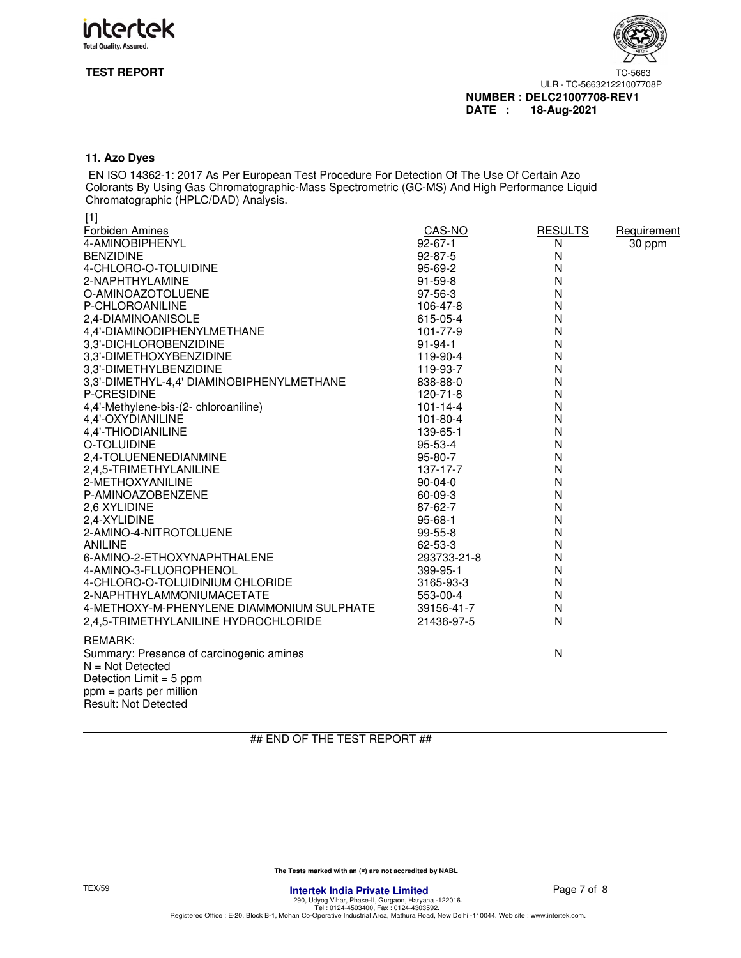



## **11. Azo Dyes**

EN ISO 14362-1: 2017 As Per European Test Procedure For Detection Of The Use Of Certain Azo Colorants By Using Gas Chromatographic-Mass Spectrometric (GC-MS) And High Performance Liquid Chromatographic (HPLC/DAD) Analysis.

| $[1]$                                     |               |                |             |
|-------------------------------------------|---------------|----------------|-------------|
| Forbiden Amines                           | CAS-NO        | <b>RESULTS</b> | Requirement |
| 4-AMINOBIPHENYL                           | $92 - 67 - 1$ | N              | 30 ppm      |
| <b>BENZIDINE</b>                          | 92-87-5       | N              |             |
| 4-CHLORO-O-TOLUIDINE                      | $95 - 69 - 2$ | N              |             |
| 2-NAPHTHYLAMINE                           | $91 - 59 - 8$ | N              |             |
| O-AMINOAZOTOLUENE                         | 97-56-3       | N              |             |
| P-CHLOROANILINE                           | 106-47-8      | N              |             |
| 2,4-DIAMINOANISOLE                        | 615-05-4      | N              |             |
| 4,4'-DIAMINODIPHENYLMETHANE               | 101-77-9      | N              |             |
| 3.3'-DICHLOROBENZIDINE                    | $91 - 94 - 1$ | N              |             |
| 3,3'-DIMETHOXYBENZIDINE                   | 119-90-4      | N              |             |
| 3,3'-DIMETHYLBENZIDINE                    | 119-93-7      | N              |             |
| 3,3'-DIMETHYL-4,4' DIAMINOBIPHENYLMETHANE | 838-88-0      | N              |             |
| P-CRESIDINE                               | 120-71-8      | N              |             |
| 4,4'-Methylene-bis-(2- chloroaniline)     | 101-14-4      | N              |             |
| 4,4'-OXYDIANILINE                         | 101-80-4      | N              |             |
| 4,4'-THIODIANILINE                        | 139-65-1      | N              |             |
| O-TOLUIDINE                               | 95-53-4       | N              |             |
| 2,4-TOLUENENEDIANMINE                     | 95-80-7       | N              |             |
| 2,4,5-TRIMETHYLANILINE                    | 137-17-7      | N              |             |
| 2-METHOXYANILINE                          | $90-04-0$     | N              |             |
| P-AMINOAZOBENZENE                         | 60-09-3       | N              |             |
| 2,6 XYLIDINE                              | 87-62-7       | N              |             |
| 2,4-XYLIDINE                              | $95 - 68 - 1$ | N              |             |
| 2-AMINO-4-NITROTOLUENE                    | $99 - 55 - 8$ | N              |             |
| <b>ANILINE</b>                            | 62-53-3       | N              |             |
| 6-AMINO-2-ETHOXYNAPHTHALENE               | 293733-21-8   | N              |             |
| 4-AMINO-3-FLUOROPHENOL                    | 399-95-1      | N              |             |
| 4-CHLORO-O-TOLUIDINIUM CHLORIDE           | 3165-93-3     | N              |             |
| 2-NAPHTHYLAMMONIUMACETATE                 | 553-00-4      | N              |             |
| 4-METHOXY-M-PHENYLENE DIAMMONIUM SULPHATE | 39156-41-7    | N              |             |
| 2,4,5-TRIMETHYLANILINE HYDROCHLORIDE      | 21436-97-5    | N              |             |
| <b>REMARK:</b>                            |               |                |             |
| Summary: Presence of carcinogenic amines  |               | N              |             |
| $N = Not$ Detected                        |               |                |             |
| Detection Limit = 5 ppm                   |               |                |             |
| ppm = parts per million                   |               |                |             |
| <b>Result: Not Detected</b>               |               |                |             |

## END OF THE TEST REPORT ##